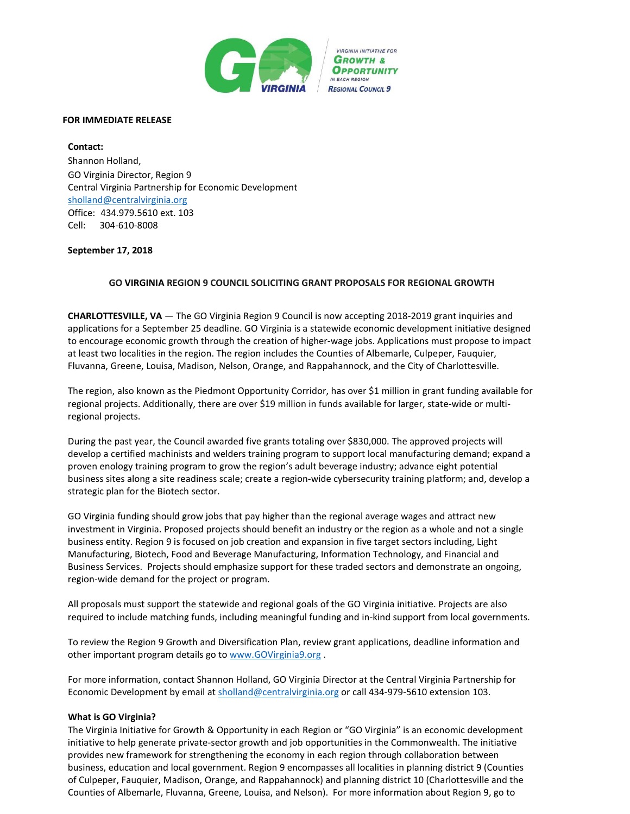

### **FOR IMMEDIATE RELEASE**

**Contact:** Shannon Holland, GO Virginia Director, Region 9 Central Virginia Partnership for Economic Developmen[t](mailto:sholland@centralvirginia.org) [sholland@centralvirginia.org](mailto:sholland@centralvirginia.org) Office: 434.979.5610 ext. 103 Cell: 304-610-8008

## **September 17, 2018**

# **GO VIRGINIA REGION 9 COUNCIL SOLICITING GRANT PROPOSALS FOR REGIONAL GROWTH**

**CHARLOTTESVILLE, VA** — The GO Virginia Region 9 Council is now accepting 2018-2019 grant inquiries and applications for a September 25 deadline. GO Virginia is a statewide economic development initiative designed to encourage economic growth through the creation of higher-wage jobs. Applications must propose to impact at least two localities in the region. The region includes the Counties of Albemarle, Culpeper, Fauquier, Fluvanna, Greene, Louisa, Madison, Nelson, Orange, and Rappahannock, and the City of Charlottesville.

The region, also known as the Piedmont Opportunity Corridor, has over \$1 million in grant funding available for regional projects. Additionally, there are over \$19 million in funds available for larger, state-wide or multiregional projects.

During the past year, the Council awarded five grants totaling over \$830,000. The approved projects will develop a certified machinists and welders training program to support local manufacturing demand; expand a proven enology training program to grow the region's adult beverage industry; advance eight potential business sites along a site readiness scale; create a region-wide cybersecurity training platform; and, develop a strategic plan for the Biotech sector.

GO Virginia funding should grow jobs that pay higher than the regional average wages and attract new investment in Virginia. Proposed projects should benefit an industry or the region as a whole and not a single business entity. Region 9 is focused on job creation and expansion in five target sectors including, Light Manufacturing, Biotech, Food and Beverage Manufacturing, Information Technology, and Financial and Business Services. Projects should emphasize support for these traded sectors and demonstrate an ongoing, region-wide demand for the project or program.

All proposals must support the statewide and regional goals of the GO Virginia initiative. Projects are also required to include matching funds, including meaningful funding and in-kind support from local governments.

To review the Region 9 Growth and Diversification Plan, review grant applications, deadline information and other important program details go to [www.GOVirginia9.org](http://www.govirginia9.org/) .

For more information, contact Shannon Holland, GO Virginia Director at the Central Virginia Partnership for Economic Development by email at [sholland@centralvirginia.org](mailto:sholland@centralvirginia.org) or call 434-979-5610 extension 103.

#### **What is GO Virginia?**

The Virginia Initiative for Growth & Opportunity in each Region or "GO Virginia" is an economic development initiative to help generate private-sector growth and job opportunities in the Commonwealth. The initiative provides new framework for strengthening the economy in each region through collaboration between business, education and local government. Region 9 encompasses all localities in planning district 9 (Counties of Culpeper, Fauquier, Madison, Orange, and Rappahannock) and planning district 10 (Charlottesville and the Counties of Albemarle, Fluvanna, Greene, Louisa, and Nelson). For more information about Region 9, go to